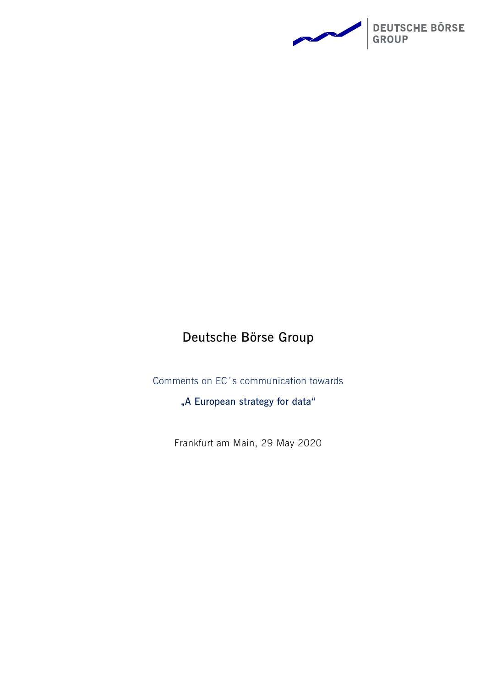

# **Deutsche Börse Group**

Comments on EC´s communication towards

**"A European strategy for data"**

Frankfurt am Main, 29 May 2020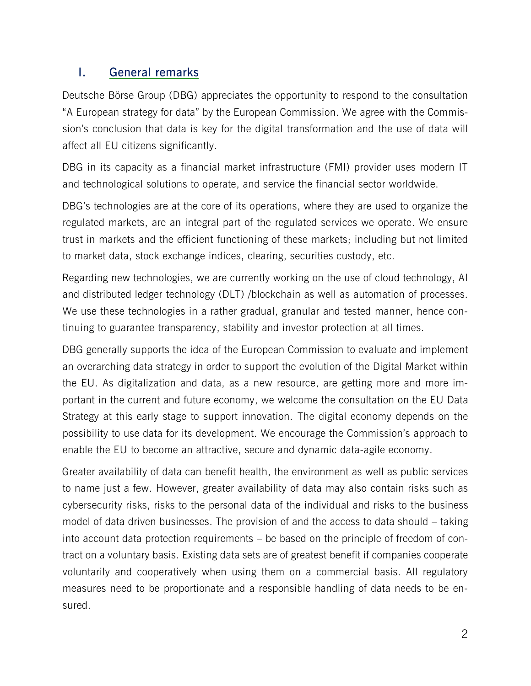## **I. General remarks**

Deutsche Börse Group (DBG) appreciates the opportunity to respond to the consultation "A European strategy for data" by the European Commission. We agree with the Commission's conclusion that data is key for the digital transformation and the use of data will affect all EU citizens significantly.

DBG in its capacity as a financial market infrastructure (FMI) provider uses modern IT and technological solutions to operate, and service the financial sector worldwide.

DBG's technologies are at the core of its operations, where they are used to organize the regulated markets, are an integral part of the regulated services we operate. We ensure trust in markets and the efficient functioning of these markets; including but not limited to market data, stock exchange indices, clearing, securities custody, etc.

Regarding new technologies, we are currently working on the use of cloud technology, AI and distributed ledger technology (DLT) /blockchain as well as automation of processes. We use these technologies in a rather gradual, granular and tested manner, hence continuing to guarantee transparency, stability and investor protection at all times.

DBG generally supports the idea of the European Commission to evaluate and implement an overarching data strategy in order to support the evolution of the Digital Market within the EU. As digitalization and data, as a new resource, are getting more and more important in the current and future economy, we welcome the consultation on the EU Data Strategy at this early stage to support innovation. The digital economy depends on the possibility to use data for its development. We encourage the Commission's approach to enable the EU to become an attractive, secure and dynamic data-agile economy.

Greater availability of data can benefit health, the environment as well as public services to name just a few. However, greater availability of data may also contain risks such as cybersecurity risks, risks to the personal data of the individual and risks to the business model of data driven businesses. The provision of and the access to data should – taking into account data protection requirements – be based on the principle of freedom of contract on a voluntary basis. Existing data sets are of greatest benefit if companies cooperate voluntarily and cooperatively when using them on a commercial basis. All regulatory measures need to be proportionate and a responsible handling of data needs to be ensured.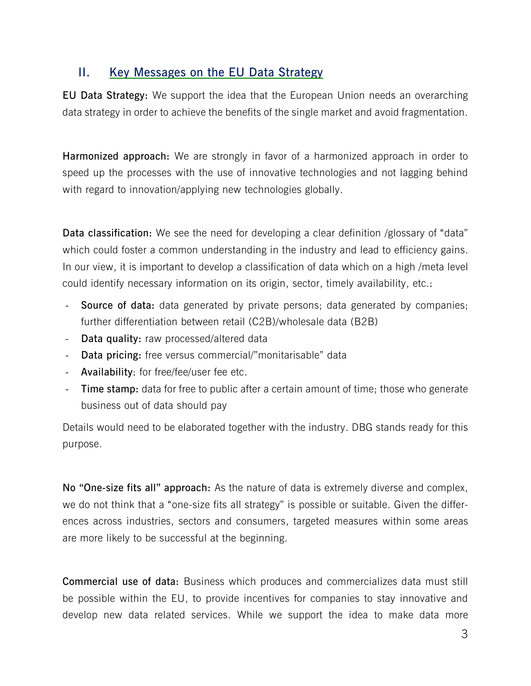## **II. Key Messages on the EU Data Strategy**

**EU Data Strategy:** We support the idea that the European Union needs an overarching data strategy in order to achieve the benefits of the single market and avoid fragmentation.

**Harmonized approach:** We are strongly in favor of a harmonized approach in order to speed up the processes with the use of innovative technologies and not lagging behind with regard to innovation/applying new technologies globally.

**Data classification:** We see the need for developing a clear definition /glossary of "data" which could foster a common understanding in the industry and lead to efficiency gains. In our view, it is important to develop a classification of data which on a high /meta level could identify necessary information on its origin, sector, timely availability, etc.:

- **Source of data:** data generated by private persons; data generated by companies; further differentiation between retail (C2B)/wholesale data (B2B)
- **Data quality:** raw processed/altered data
- **Data pricing:** free versus commercial/"monitarisable" data
- **Availability**: for free/fee/user fee etc.
- **Time stamp:** data for free to public after a certain amount of time; those who generate business out of data should pay

Details would need to be elaborated together with the industry. DBG stands ready for this purpose.

**No "One-size fits all" approach:** As the nature of data is extremely diverse and complex, we do not think that a "one-size fits all strategy" is possible or suitable. Given the differences across industries, sectors and consumers, targeted measures within some areas are more likely to be successful at the beginning.

**Commercial use of data:** Business which produces and commercializes data must still be possible within the EU, to provide incentives for companies to stay innovative and develop new data related services. While we support the idea to make data more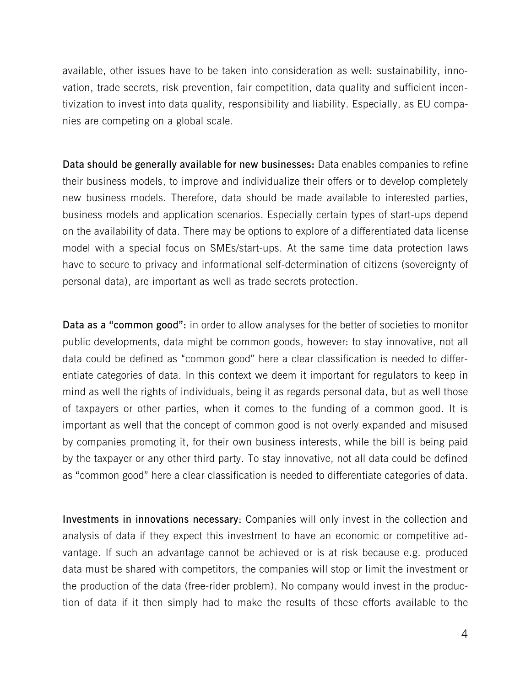available, other issues have to be taken into consideration as well: sustainability, innovation, trade secrets, risk prevention, fair competition, data quality and sufficient incentivization to invest into data quality, responsibility and liability. Especially, as EU companies are competing on a global scale.

**Data should be generally available for new businesses:** Data enables companies to refine their business models, to improve and individualize their offers or to develop completely new business models. Therefore, data should be made available to interested parties, business models and application scenarios. Especially certain types of start-ups depend on the availability of data. There may be options to explore of a differentiated data license model with a special focus on SMEs/start-ups. At the same time data protection laws have to secure to privacy and informational self-determination of citizens (sovereignty of personal data), are important as well as trade secrets protection.

**Data as a "common good":** in order to allow analyses for the better of societies to monitor public developments, data might be common goods, however: to stay innovative, not all data could be defined as "common good" here a clear classification is needed to differentiate categories of data. In this context we deem it important for regulators to keep in mind as well the rights of individuals, being it as regards personal data, but as well those of taxpayers or other parties, when it comes to the funding of a common good. It is important as well that the concept of common good is not overly expanded and misused by companies promoting it, for their own business interests, while the bill is being paid by the taxpayer or any other third party. To stay innovative, not all data could be defined as "common good" here a clear classification is needed to differentiate categories of data.

**Investments in innovations necessary**: Companies will only invest in the collection and analysis of data if they expect this investment to have an economic or competitive advantage. If such an advantage cannot be achieved or is at risk because e.g. produced data must be shared with competitors, the companies will stop or limit the investment or the production of the data (free-rider problem). No company would invest in the production of data if it then simply had to make the results of these efforts available to the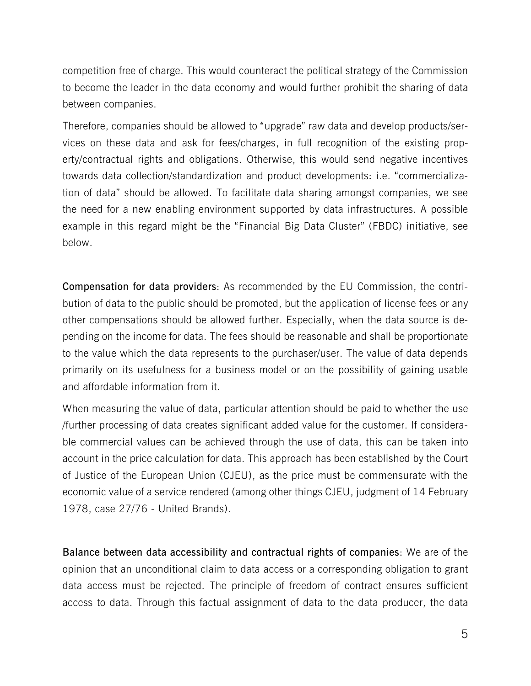competition free of charge. This would counteract the political strategy of the Commission to become the leader in the data economy and would further prohibit the sharing of data between companies.

Therefore, companies should be allowed to "upgrade" raw data and develop products/services on these data and ask for fees/charges, in full recognition of the existing property/contractual rights and obligations. Otherwise, this would send negative incentives towards data collection/standardization and product developments: i.e. "commercialization of data" should be allowed. To facilitate data sharing amongst companies, we see the need for a new enabling environment supported by data infrastructures. A possible example in this regard might be the "Financial Big Data Cluster" (FBDC) initiative, see below.

**Compensation for data providers**: As recommended by the EU Commission, the contribution of data to the public should be promoted, but the application of license fees or any other compensations should be allowed further. Especially, when the data source is depending on the income for data. The fees should be reasonable and shall be proportionate to the value which the data represents to the purchaser/user. The value of data depends primarily on its usefulness for a business model or on the possibility of gaining usable and affordable information from it.

When measuring the value of data, particular attention should be paid to whether the use /further processing of data creates significant added value for the customer. If considerable commercial values can be achieved through the use of data, this can be taken into account in the price calculation for data. This approach has been established by the Court of Justice of the European Union (CJEU), as the price must be commensurate with the economic value of a service rendered (among other things CJEU, judgment of 14 February 1978, case 27/76 - United Brands).

**Balance between data accessibility and contractual rights of companies**: We are of the opinion that an unconditional claim to data access or a corresponding obligation to grant data access must be rejected. The principle of freedom of contract ensures sufficient access to data. Through this factual assignment of data to the data producer, the data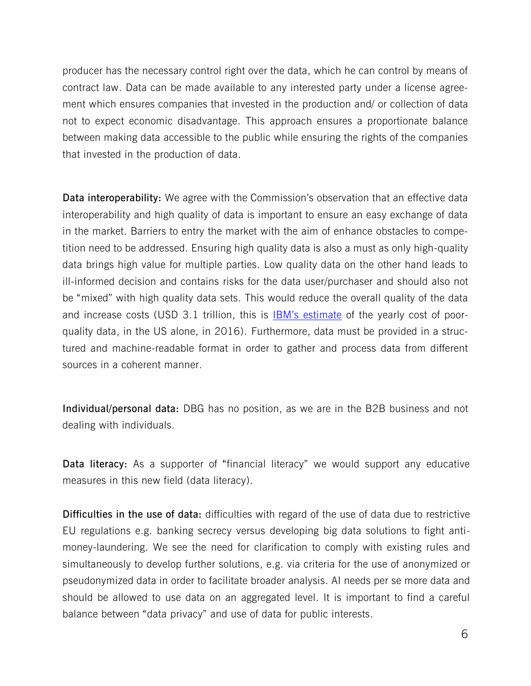producer has the necessary control right over the data, which he can control by means of contract law. Data can be made available to any interested party under a license agreement which ensures companies that invested in the production and/ or collection of data not to expect economic disadvantage. This approach ensures a proportionate balance between making data accessible to the public while ensuring the rights of the companies that invested in the production of data.

**Data interoperability:** We agree with the Commission's observation that an effective data interoperability and high quality of data is important to ensure an easy exchange of data in the market. Barriers to entry the market with the aim of enhance obstacles to competition need to be addressed. Ensuring high quality data is also a must as only high-quality data brings high value for multiple parties. Low quality data on the other hand leads to ill-informed decision and contains risks for the data user/purchaser and should also not be "mixed" with high quality data sets. This would reduce the overall quality of the data and increase costs (USD 3.1 trillion, this is [IBM's estimate](https://hbr.org/2016/09/bad-data-costs-the-u-s-3-trillion-per-year) of the yearly cost of poorquality data, in the US alone, in 2016). Furthermore, data must be provided in a structured and machine-readable format in order to gather and process data from different sources in a coherent manner.

**Individual/personal data:** DBG has no position, as we are in the B2B business and not dealing with individuals.

**Data literacy:** As a supporter of "financial literacy" we would support any educative measures in this new field (data literacy).

**Difficulties in the use of data:** difficulties with regard of the use of data due to restrictive EU regulations e.g. banking secrecy versus developing big data solutions to fight antimoney-laundering. We see the need for clarification to comply with existing rules and simultaneously to develop further solutions, e.g. via criteria for the use of anonymized or pseudonymized data in order to facilitate broader analysis. AI needs per se more data and should be allowed to use data on an aggregated level. It is important to find a careful balance between "data privacy" and use of data for public interests.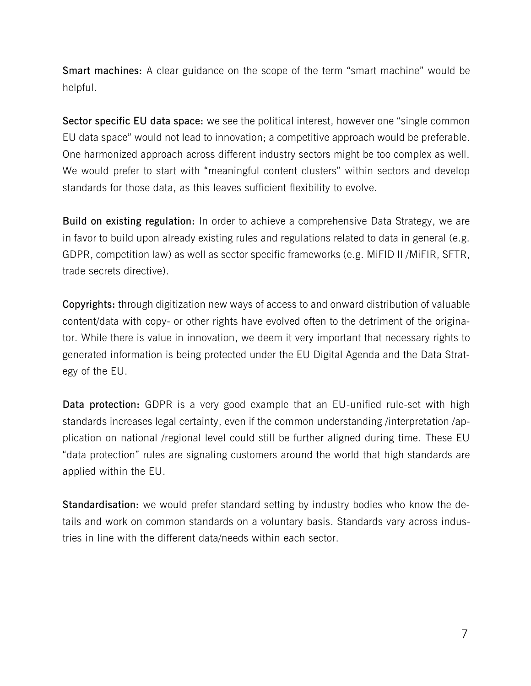**Smart machines:** A clear guidance on the scope of the term "smart machine" would be helpful.

**Sector specific EU data space:** we see the political interest, however one "single common EU data space" would not lead to innovation; a competitive approach would be preferable. One harmonized approach across different industry sectors might be too complex as well. We would prefer to start with "meaningful content clusters" within sectors and develop standards for those data, as this leaves sufficient flexibility to evolve.

**Build on existing regulation:** In order to achieve a comprehensive Data Strategy, we are in favor to build upon already existing rules and regulations related to data in general (e.g. GDPR, competition law) as well as sector specific frameworks (e.g. MiFID II /MiFIR, SFTR, trade secrets directive).

**Copyrights:** through digitization new ways of access to and onward distribution of valuable content/data with copy- or other rights have evolved often to the detriment of the originator. While there is value in innovation, we deem it very important that necessary rights to generated information is being protected under the EU Digital Agenda and the Data Strategy of the EU.

**Data protection:** GDPR is a very good example that an EU-unified rule-set with high standards increases legal certainty, even if the common understanding /interpretation /application on national /regional level could still be further aligned during time. These EU "data protection" rules are signaling customers around the world that high standards are applied within the EU.

**Standardisation:** we would prefer standard setting by industry bodies who know the details and work on common standards on a voluntary basis. Standards vary across industries in line with the different data/needs within each sector.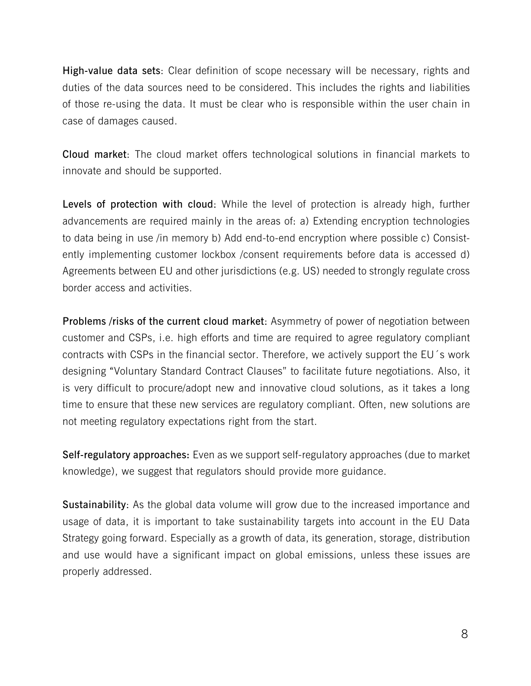**High-value data sets**: Clear definition of scope necessary will be necessary, rights and duties of the data sources need to be considered. This includes the rights and liabilities of those re-using the data. It must be clear who is responsible within the user chain in case of damages caused.

**Cloud market**: The cloud market offers technological solutions in financial markets to innovate and should be supported.

**Levels of protection with cloud**: While the level of protection is already high, further advancements are required mainly in the areas of: a) Extending encryption technologies to data being in use /in memory b) Add end-to-end encryption where possible c) Consistently implementing customer lockbox /consent requirements before data is accessed d) Agreements between EU and other jurisdictions (e.g. US) needed to strongly regulate cross border access and activities.

**Problems /risks of the current cloud market**: Asymmetry of power of negotiation between customer and CSPs, i.e. high efforts and time are required to agree regulatory compliant contracts with CSPs in the financial sector. Therefore, we actively support the EU´s work designing "Voluntary Standard Contract Clauses" to facilitate future negotiations. Also, it is very difficult to procure/adopt new and innovative cloud solutions, as it takes a long time to ensure that these new services are regulatory compliant. Often, new solutions are not meeting regulatory expectations right from the start.

**Self-regulatory approaches:** Even as we support self-regulatory approaches (due to market knowledge), we suggest that regulators should provide more guidance.

**Sustainability**: As the global data volume will grow due to the increased importance and usage of data, it is important to take sustainability targets into account in the EU Data Strategy going forward. Especially as a growth of data, its generation, storage, distribution and use would have a significant impact on global emissions, unless these issues are properly addressed.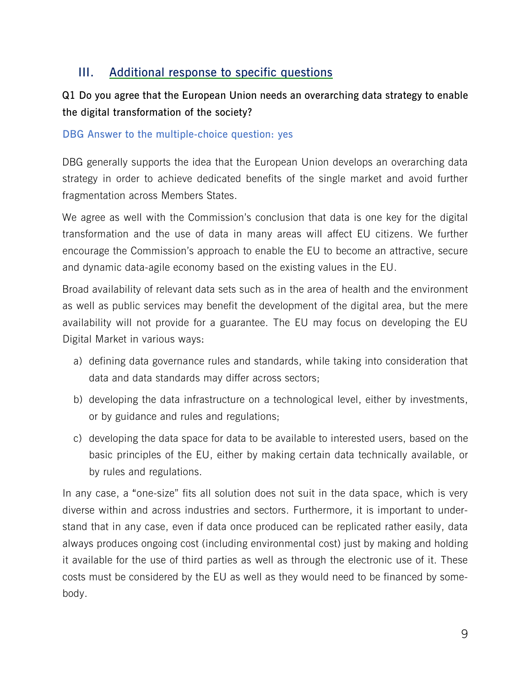## **III. Additional response to specific questions**

## **Q1 Do you agree that the European Union needs an overarching data strategy to enable the digital transformation of the society?**

## **DBG Answer to the multiple-choice question: yes**

DBG generally supports the idea that the European Union develops an overarching data strategy in order to achieve dedicated benefits of the single market and avoid further fragmentation across Members States.

We agree as well with the Commission's conclusion that data is one key for the digital transformation and the use of data in many areas will affect EU citizens. We further encourage the Commission's approach to enable the EU to become an attractive, secure and dynamic data-agile economy based on the existing values in the EU.

Broad availability of relevant data sets such as in the area of health and the environment as well as public services may benefit the development of the digital area, but the mere availability will not provide for a guarantee. The EU may focus on developing the EU Digital Market in various ways:

- a) defining data governance rules and standards, while taking into consideration that data and data standards may differ across sectors;
- b) developing the data infrastructure on a technological level, either by investments, or by guidance and rules and regulations;
- c) developing the data space for data to be available to interested users, based on the basic principles of the EU, either by making certain data technically available, or by rules and regulations.

In any case, a "one-size" fits all solution does not suit in the data space, which is very diverse within and across industries and sectors. Furthermore, it is important to understand that in any case, even if data once produced can be replicated rather easily, data always produces ongoing cost (including environmental cost) just by making and holding it available for the use of third parties as well as through the electronic use of it. These costs must be considered by the EU as well as they would need to be financed by somebody.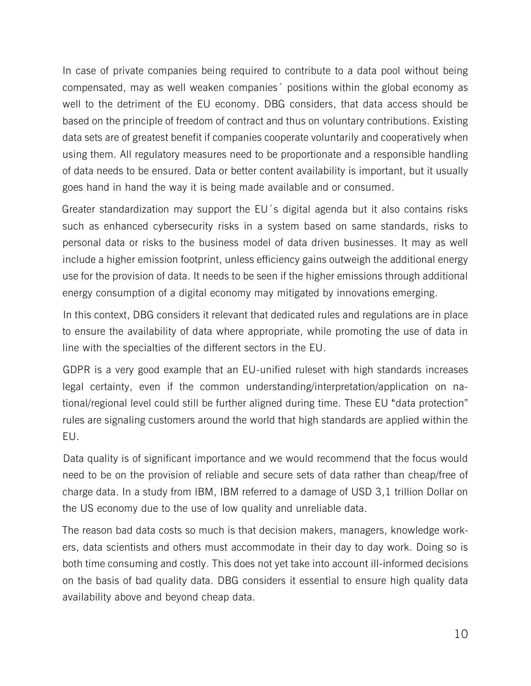In case of private companies being required to contribute to a data pool without being compensated, may as well weaken companies´ positions within the global economy as well to the detriment of the EU economy. DBG considers, that data access should be based on the principle of freedom of contract and thus on voluntary contributions. Existing data sets are of greatest benefit if companies cooperate voluntarily and cooperatively when using them. All regulatory measures need to be proportionate and a responsible handling of data needs to be ensured. Data or better content availability is important, but it usually goes hand in hand the way it is being made available and or consumed.

Greater standardization may support the EU´s digital agenda but it also contains risks such as enhanced cybersecurity risks in a system based on same standards, risks to personal data or risks to the business model of data driven businesses. It may as well include a higher emission footprint, unless efficiency gains outweigh the additional energy use for the provision of data. It needs to be seen if the higher emissions through additional energy consumption of a digital economy may mitigated by innovations emerging.

In this context, DBG considers it relevant that dedicated rules and regulations are in place to ensure the availability of data where appropriate, while promoting the use of data in line with the specialties of the different sectors in the EU.

GDPR is a very good example that an EU-unified ruleset with high standards increases legal certainty, even if the common understanding/interpretation/application on national/regional level could still be further aligned during time. These EU "data protection" rules are signaling customers around the world that high standards are applied within the EU.

Data quality is of significant importance and we would recommend that the focus would need to be on the provision of reliable and secure sets of data rather than cheap/free of charge data. In a study from IBM, IBM referred to a damage of USD 3,1 trillion Dollar on the US economy due to the use of low quality and unreliable data.

The reason bad data costs so much is that decision makers, managers, knowledge workers, data scientists and others must accommodate in their day to day work. Doing so is both time consuming and costly. This does not yet take into account ill-informed decisions on the basis of bad quality data. DBG considers it essential to ensure high quality data availability above and beyond cheap data.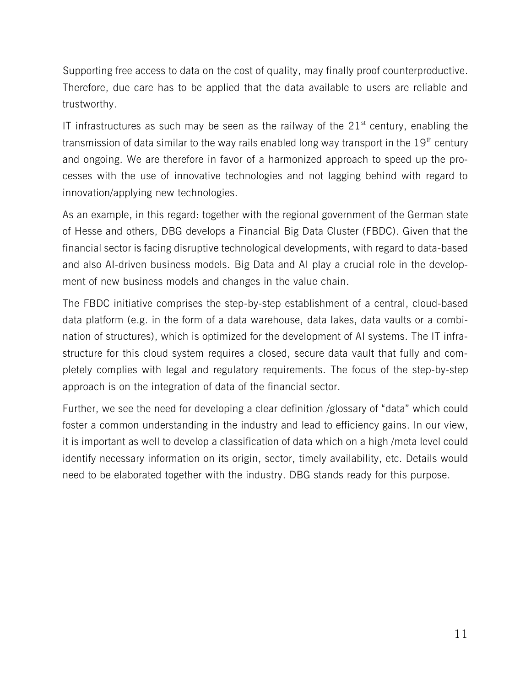Supporting free access to data on the cost of quality, may finally proof counterproductive. Therefore, due care has to be applied that the data available to users are reliable and trustworthy.

IT infrastructures as such may be seen as the railway of the  $21<sup>st</sup>$  century, enabling the transmission of data similar to the way rails enabled long way transport in the  $19<sup>th</sup>$  century and ongoing. We are therefore in favor of a harmonized approach to speed up the processes with the use of innovative technologies and not lagging behind with regard to innovation/applying new technologies.

As an example, in this regard: together with the regional government of the German state of Hesse and others, DBG develops a Financial Big Data Cluster (FBDC). Given that the financial sector is facing disruptive technological developments, with regard to data-based and also AI-driven business models. Big Data and AI play a crucial role in the development of new business models and changes in the value chain.

The FBDC initiative comprises the step-by-step establishment of a central, cloud-based data platform (e.g. in the form of a data warehouse, data lakes, data vaults or a combination of structures), which is optimized for the development of AI systems. The IT infrastructure for this cloud system requires a closed, secure data vault that fully and completely complies with legal and regulatory requirements. The focus of the step-by-step approach is on the integration of data of the financial sector.

Further, we see the need for developing a clear definition /glossary of "data" which could foster a common understanding in the industry and lead to efficiency gains. In our view, it is important as well to develop a classification of data which on a high /meta level could identify necessary information on its origin, sector, timely availability, etc. Details would need to be elaborated together with the industry. DBG stands ready for this purpose.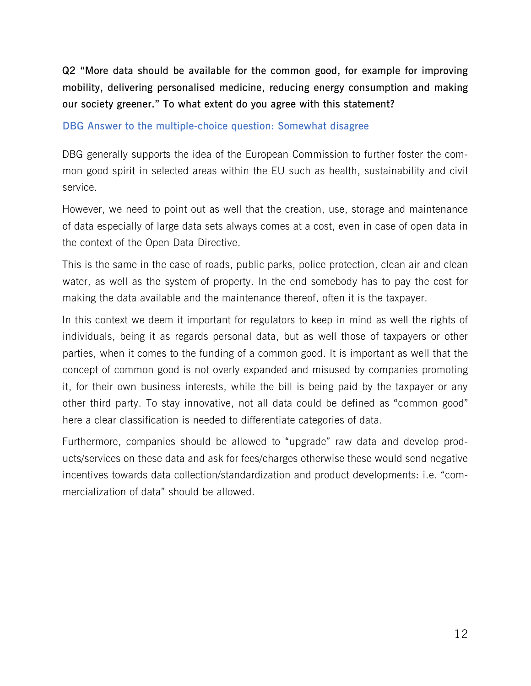**Q2 "More data should be available for the common good, for example for improving mobility, delivering personalised medicine, reducing energy consumption and making our society greener." To what extent do you agree with this statement?**

#### **DBG Answer to the multiple-choice question: Somewhat disagree**

DBG generally supports the idea of the European Commission to further foster the common good spirit in selected areas within the EU such as health, sustainability and civil service.

However, we need to point out as well that the creation, use, storage and maintenance of data especially of large data sets always comes at a cost, even in case of open data in the context of the Open Data Directive.

This is the same in the case of roads, public parks, police protection, clean air and clean water, as well as the system of property. In the end somebody has to pay the cost for making the data available and the maintenance thereof, often it is the taxpayer.

In this context we deem it important for regulators to keep in mind as well the rights of individuals, being it as regards personal data, but as well those of taxpayers or other parties, when it comes to the funding of a common good. It is important as well that the concept of common good is not overly expanded and misused by companies promoting it, for their own business interests, while the bill is being paid by the taxpayer or any other third party. To stay innovative, not all data could be defined as "common good" here a clear classification is needed to differentiate categories of data.

Furthermore, companies should be allowed to "upgrade" raw data and develop products/services on these data and ask for fees/charges otherwise these would send negative incentives towards data collection/standardization and product developments: i.e. "commercialization of data" should be allowed.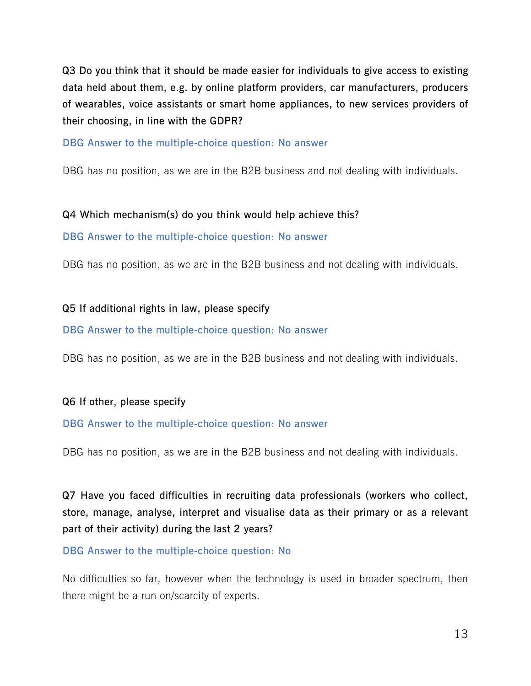**Q3 Do you think that it should be made easier for individuals to give access to existing data held about them, e.g. by online platform providers, car manufacturers, producers of wearables, voice assistants or smart home appliances, to new services providers of their choosing, in line with the GDPR?**

**DBG Answer to the multiple-choice question: No answer** 

DBG has no position, as we are in the B2B business and not dealing with individuals.

## **Q4 Which mechanism(s) do you think would help achieve this?**

**DBG Answer to the multiple-choice question: No answer** 

DBG has no position, as we are in the B2B business and not dealing with individuals.

## **Q5 If additional rights in law, please specify**

## **DBG Answer to the multiple-choice question: No answer**

DBG has no position, as we are in the B2B business and not dealing with individuals.

## **Q6 If other, please specify**

## **DBG Answer to the multiple-choice question: No answer**

DBG has no position, as we are in the B2B business and not dealing with individuals.

**Q7 Have you faced difficulties in recruiting data professionals (workers who collect, store, manage, analyse, interpret and visualise data as their primary or as a relevant part of their activity) during the last 2 years?**

## **DBG Answer to the multiple-choice question: No**

No difficulties so far, however when the technology is used in broader spectrum, then there might be a run on/scarcity of experts.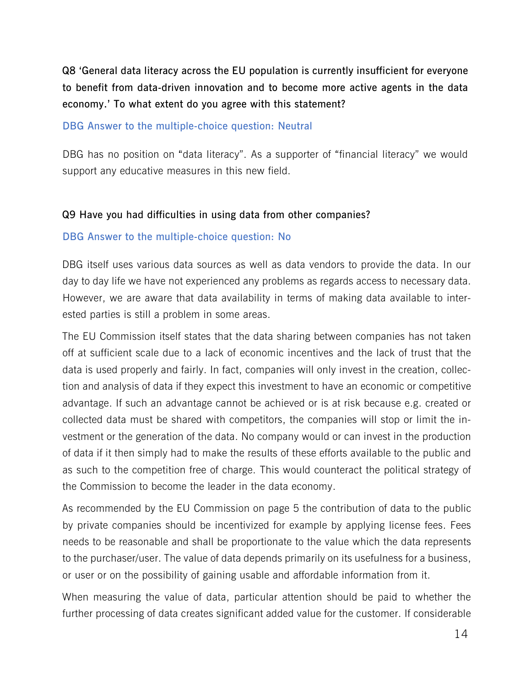**Q8 'General data literacy across the EU population is currently insufficient for everyone to benefit from data-driven innovation and to become more active agents in the data economy.' To what extent do you agree with this statement?**

### **DBG Answer to the multiple-choice question: Neutral**

DBG has no position on "data literacy". As a supporter of "financial literacy" we would support any educative measures in this new field.

## **Q9 Have you had difficulties in using data from other companies?**

#### **DBG Answer to the multiple-choice question: No**

DBG itself uses various data sources as well as data vendors to provide the data. In our day to day life we have not experienced any problems as regards access to necessary data. However, we are aware that data availability in terms of making data available to interested parties is still a problem in some areas.

The EU Commission itself states that the data sharing between companies has not taken off at sufficient scale due to a lack of economic incentives and the lack of trust that the data is used properly and fairly. In fact, companies will only invest in the creation, collection and analysis of data if they expect this investment to have an economic or competitive advantage. If such an advantage cannot be achieved or is at risk because e.g. created or collected data must be shared with competitors, the companies will stop or limit the investment or the generation of the data. No company would or can invest in the production of data if it then simply had to make the results of these efforts available to the public and as such to the competition free of charge. This would counteract the political strategy of the Commission to become the leader in the data economy.

As recommended by the EU Commission on page 5 the contribution of data to the public by private companies should be incentivized for example by applying license fees. Fees needs to be reasonable and shall be proportionate to the value which the data represents to the purchaser/user. The value of data depends primarily on its usefulness for a business, or user or on the possibility of gaining usable and affordable information from it.

When measuring the value of data, particular attention should be paid to whether the further processing of data creates significant added value for the customer. If considerable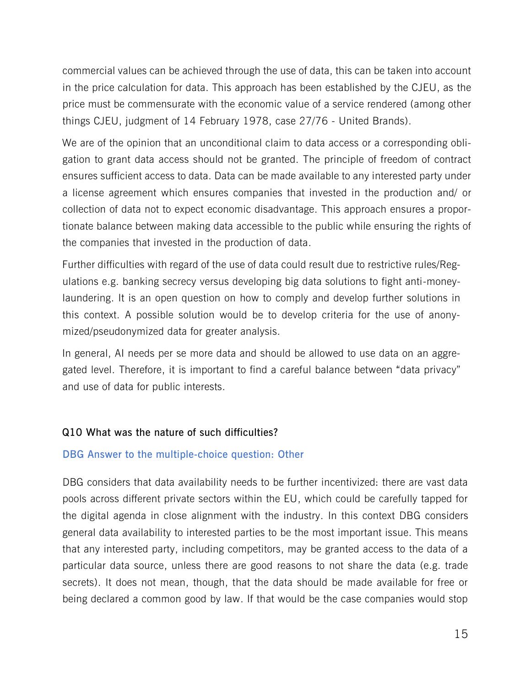commercial values can be achieved through the use of data, this can be taken into account in the price calculation for data. This approach has been established by the CJEU, as the price must be commensurate with the economic value of a service rendered (among other things CJEU, judgment of 14 February 1978, case 27/76 - United Brands).

We are of the opinion that an unconditional claim to data access or a corresponding obligation to grant data access should not be granted. The principle of freedom of contract ensures sufficient access to data. Data can be made available to any interested party under a license agreement which ensures companies that invested in the production and/ or collection of data not to expect economic disadvantage. This approach ensures a proportionate balance between making data accessible to the public while ensuring the rights of the companies that invested in the production of data.

Further difficulties with regard of the use of data could result due to restrictive rules/Regulations e.g. banking secrecy versus developing big data solutions to fight anti-moneylaundering. It is an open question on how to comply and develop further solutions in this context. A possible solution would be to develop criteria for the use of anonymized/pseudonymized data for greater analysis.

In general, AI needs per se more data and should be allowed to use data on an aggregated level. Therefore, it is important to find a careful balance between "data privacy" and use of data for public interests.

## **Q10 What was the nature of such difficulties?**

## **DBG Answer to the multiple-choice question: Other**

DBG considers that data availability needs to be further incentivized: there are vast data pools across different private sectors within the EU, which could be carefully tapped for the digital agenda in close alignment with the industry. In this context DBG considers general data availability to interested parties to be the most important issue. This means that any interested party, including competitors, may be granted access to the data of a particular data source, unless there are good reasons to not share the data (e.g. trade secrets). It does not mean, though, that the data should be made available for free or being declared a common good by law. If that would be the case companies would stop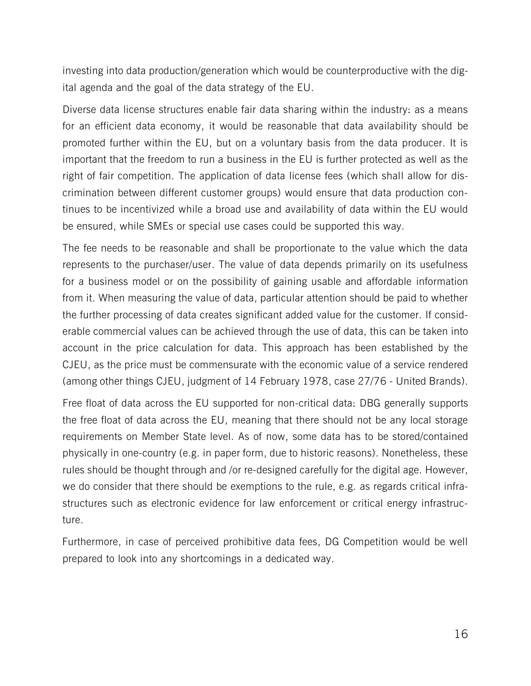investing into data production/generation which would be counterproductive with the digital agenda and the goal of the data strategy of the EU.

Diverse data license structures enable fair data sharing within the industry: as a means for an efficient data economy, it would be reasonable that data availability should be promoted further within the EU, but on a voluntary basis from the data producer. It is important that the freedom to run a business in the EU is further protected as well as the right of fair competition. The application of data license fees (which shall allow for discrimination between different customer groups) would ensure that data production continues to be incentivized while a broad use and availability of data within the EU would be ensured, while SMEs or special use cases could be supported this way.

The fee needs to be reasonable and shall be proportionate to the value which the data represents to the purchaser/user. The value of data depends primarily on its usefulness for a business model or on the possibility of gaining usable and affordable information from it. When measuring the value of data, particular attention should be paid to whether the further processing of data creates significant added value for the customer. If considerable commercial values can be achieved through the use of data, this can be taken into account in the price calculation for data. This approach has been established by the CJEU, as the price must be commensurate with the economic value of a service rendered (among other things CJEU, judgment of 14 February 1978, case 27/76 - United Brands).

Free float of data across the EU supported for non-critical data: DBG generally supports the free float of data across the EU, meaning that there should not be any local storage requirements on Member State level. As of now, some data has to be stored/contained physically in one-country (e.g. in paper form, due to historic reasons). Nonetheless, these rules should be thought through and /or re-designed carefully for the digital age. However, we do consider that there should be exemptions to the rule, e.g. as regards critical infrastructures such as electronic evidence for law enforcement or critical energy infrastructure.

Furthermore, in case of perceived prohibitive data fees, DG Competition would be well prepared to look into any shortcomings in a dedicated way.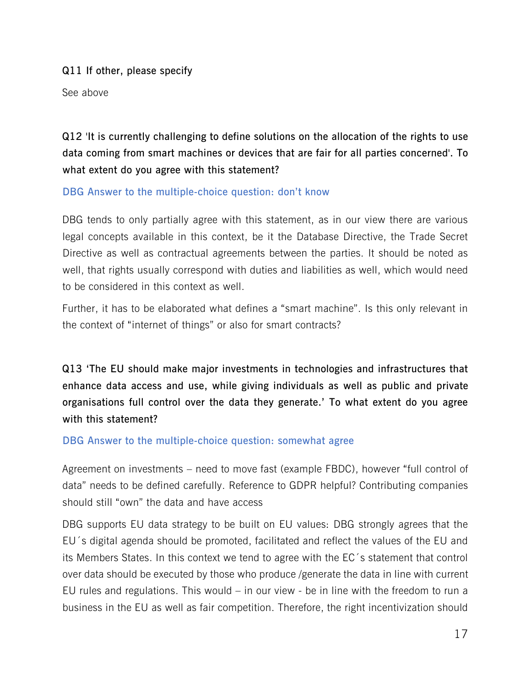**Q11 If other, please specify**

See above

**Q12 'It is currently challenging to define solutions on the allocation of the rights to use data coming from smart machines or devices that are fair for all parties concerned'. To what extent do you agree with this statement?**

## **DBG Answer to the multiple-choice question: don't know**

DBG tends to only partially agree with this statement, as in our view there are various legal concepts available in this context, be it the Database Directive, the Trade Secret Directive as well as contractual agreements between the parties. It should be noted as well, that rights usually correspond with duties and liabilities as well, which would need to be considered in this context as well.

Further, it has to be elaborated what defines a "smart machine". Is this only relevant in the context of "internet of things" or also for smart contracts?

**Q13 'The EU should make major investments in technologies and infrastructures that enhance data access and use, while giving individuals as well as public and private organisations full control over the data they generate.' To what extent do you agree with this statement?**

## **DBG Answer to the multiple-choice question: somewhat agree**

Agreement on investments – need to move fast (example FBDC), however "full control of data" needs to be defined carefully. Reference to GDPR helpful? Contributing companies should still "own" the data and have access

DBG supports EU data strategy to be built on EU values: DBG strongly agrees that the EU´s digital agenda should be promoted, facilitated and reflect the values of the EU and its Members States. In this context we tend to agree with the EC´s statement that control over data should be executed by those who produce /generate the data in line with current EU rules and regulations. This would – in our view - be in line with the freedom to run a business in the EU as well as fair competition. Therefore, the right incentivization should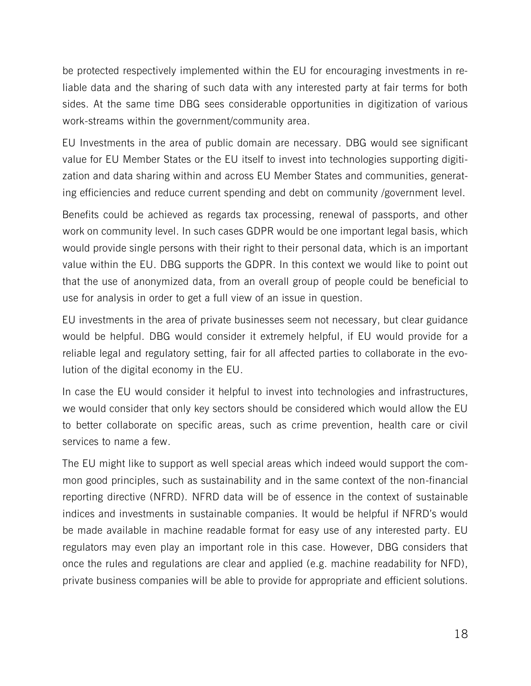be protected respectively implemented within the EU for encouraging investments in reliable data and the sharing of such data with any interested party at fair terms for both sides. At the same time DBG sees considerable opportunities in digitization of various work-streams within the government/community area.

EU Investments in the area of public domain are necessary. DBG would see significant value for EU Member States or the EU itself to invest into technologies supporting digitization and data sharing within and across EU Member States and communities, generating efficiencies and reduce current spending and debt on community /government level.

Benefits could be achieved as regards tax processing, renewal of passports, and other work on community level. In such cases GDPR would be one important legal basis, which would provide single persons with their right to their personal data, which is an important value within the EU. DBG supports the GDPR. In this context we would like to point out that the use of anonymized data, from an overall group of people could be beneficial to use for analysis in order to get a full view of an issue in question.

EU investments in the area of private businesses seem not necessary, but clear guidance would be helpful. DBG would consider it extremely helpful, if EU would provide for a reliable legal and regulatory setting, fair for all affected parties to collaborate in the evolution of the digital economy in the EU.

In case the EU would consider it helpful to invest into technologies and infrastructures, we would consider that only key sectors should be considered which would allow the EU to better collaborate on specific areas, such as crime prevention, health care or civil services to name a few.

The EU might like to support as well special areas which indeed would support the common good principles, such as sustainability and in the same context of the non-financial reporting directive (NFRD). NFRD data will be of essence in the context of sustainable indices and investments in sustainable companies. It would be helpful if NFRD's would be made available in machine readable format for easy use of any interested party. EU regulators may even play an important role in this case. However, DBG considers that once the rules and regulations are clear and applied (e.g. machine readability for NFD), private business companies will be able to provide for appropriate and efficient solutions.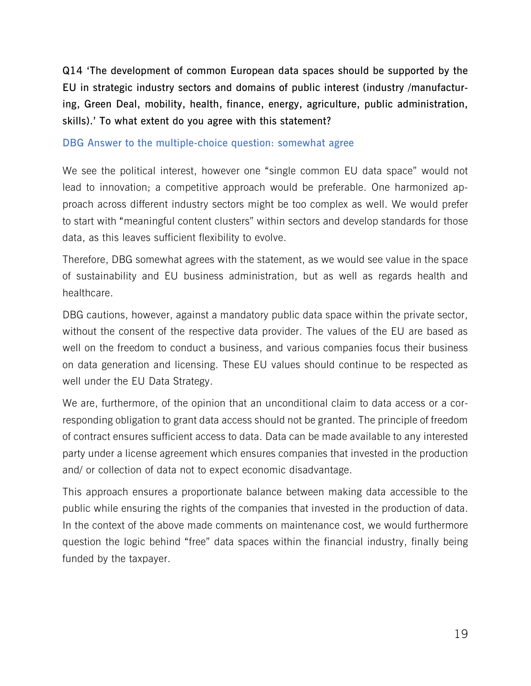**Q14 'The development of common European data spaces should be supported by the EU in strategic industry sectors and domains of public interest (industry /manufacturing, Green Deal, mobility, health, finance, energy, agriculture, public administration, skills).' To what extent do you agree with this statement?**

#### **DBG Answer to the multiple-choice question: somewhat agree**

We see the political interest, however one "single common EU data space" would not lead to innovation; a competitive approach would be preferable. One harmonized approach across different industry sectors might be too complex as well. We would prefer to start with "meaningful content clusters" within sectors and develop standards for those data, as this leaves sufficient flexibility to evolve.

Therefore, DBG somewhat agrees with the statement, as we would see value in the space of sustainability and EU business administration, but as well as regards health and healthcare.

DBG cautions, however, against a mandatory public data space within the private sector, without the consent of the respective data provider. The values of the EU are based as well on the freedom to conduct a business, and various companies focus their business on data generation and licensing. These EU values should continue to be respected as well under the EU Data Strategy.

We are, furthermore, of the opinion that an unconditional claim to data access or a corresponding obligation to grant data access should not be granted. The principle of freedom of contract ensures sufficient access to data. Data can be made available to any interested party under a license agreement which ensures companies that invested in the production and/ or collection of data not to expect economic disadvantage.

This approach ensures a proportionate balance between making data accessible to the public while ensuring the rights of the companies that invested in the production of data. In the context of the above made comments on maintenance cost, we would furthermore question the logic behind "free" data spaces within the financial industry, finally being funded by the taxpayer.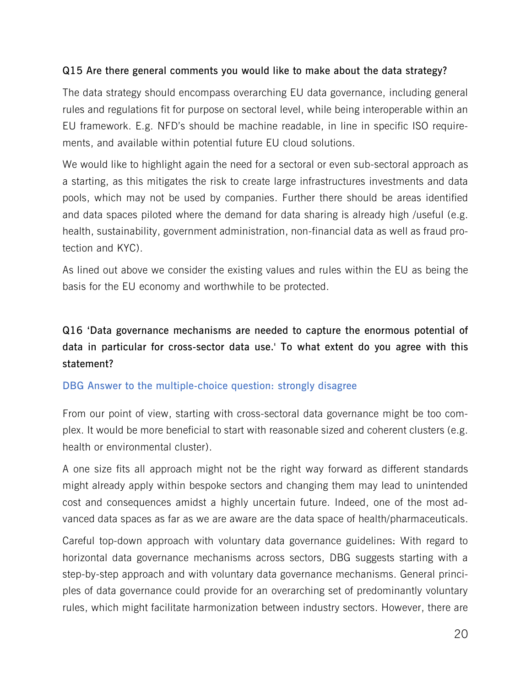## **Q15 Are there general comments you would like to make about the data strategy?**

The data strategy should encompass overarching EU data governance, including general rules and regulations fit for purpose on sectoral level, while being interoperable within an EU framework. E.g. NFD's should be machine readable, in line in specific ISO requirements, and available within potential future EU cloud solutions.

We would like to highlight again the need for a sectoral or even sub-sectoral approach as a starting, as this mitigates the risk to create large infrastructures investments and data pools, which may not be used by companies. Further there should be areas identified and data spaces piloted where the demand for data sharing is already high /useful (e.g. health, sustainability, government administration, non-financial data as well as fraud protection and KYC).

As lined out above we consider the existing values and rules within the EU as being the basis for the EU economy and worthwhile to be protected.

## **Q16 'Data governance mechanisms are needed to capture the enormous potential of data in particular for cross-sector data use.' To what extent do you agree with this statement?**

## **DBG Answer to the multiple-choice question: strongly disagree**

From our point of view, starting with cross-sectoral data governance might be too complex. It would be more beneficial to start with reasonable sized and coherent clusters (e.g. health or environmental cluster).

A one size fits all approach might not be the right way forward as different standards might already apply within bespoke sectors and changing them may lead to unintended cost and consequences amidst a highly uncertain future. Indeed, one of the most advanced data spaces as far as we are aware are the data space of health/pharmaceuticals.

Careful top-down approach with voluntary data governance guidelines: With regard to horizontal data governance mechanisms across sectors, DBG suggests starting with a step-by-step approach and with voluntary data governance mechanisms. General principles of data governance could provide for an overarching set of predominantly voluntary rules, which might facilitate harmonization between industry sectors. However, there are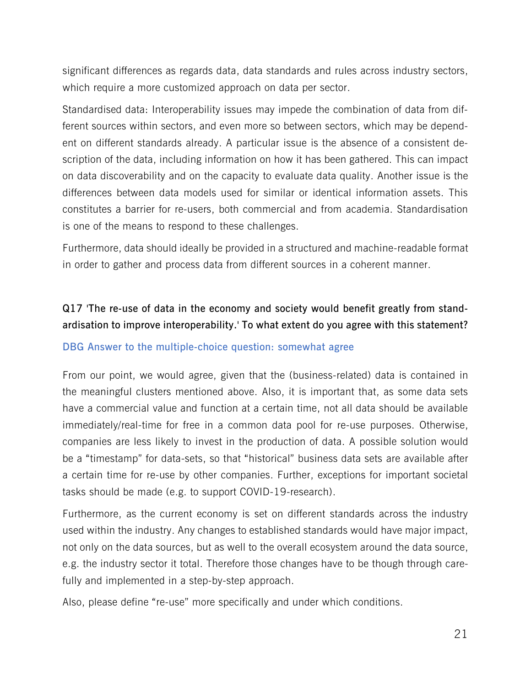significant differences as regards data, data standards and rules across industry sectors, which require a more customized approach on data per sector.

Standardised data: Interoperability issues may impede the combination of data from different sources within sectors, and even more so between sectors, which may be dependent on different standards already. A particular issue is the absence of a consistent description of the data, including information on how it has been gathered. This can impact on data discoverability and on the capacity to evaluate data quality. Another issue is the differences between data models used for similar or identical information assets. This constitutes a barrier for re-users, both commercial and from academia. Standardisation is one of the means to respond to these challenges.

Furthermore, data should ideally be provided in a structured and machine-readable format in order to gather and process data from different sources in a coherent manner.

## **Q17 'The re-use of data in the economy and society would benefit greatly from standardisation to improve interoperability.' To what extent do you agree with this statement?**

## **DBG Answer to the multiple-choice question: somewhat agree**

From our point, we would agree, given that the (business-related) data is contained in the meaningful clusters mentioned above. Also, it is important that, as some data sets have a commercial value and function at a certain time, not all data should be available immediately/real-time for free in a common data pool for re-use purposes. Otherwise, companies are less likely to invest in the production of data. A possible solution would be a "timestamp" for data-sets, so that "historical" business data sets are available after a certain time for re-use by other companies. Further, exceptions for important societal tasks should be made (e.g. to support COVID-19-research).

Furthermore, as the current economy is set on different standards across the industry used within the industry. Any changes to established standards would have major impact, not only on the data sources, but as well to the overall ecosystem around the data source, e.g. the industry sector it total. Therefore those changes have to be though through carefully and implemented in a step-by-step approach.

Also, please define "re-use" more specifically and under which conditions.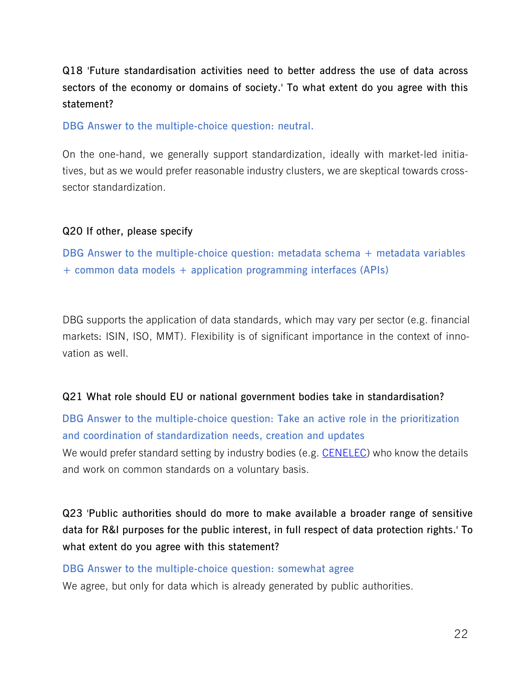**Q18 'Future standardisation activities need to better address the use of data across sectors of the economy or domains of society.' To what extent do you agree with this statement?**

**DBG Answer to the multiple-choice question: neutral.**

On the one-hand, we generally support standardization, ideally with market-led initiatives, but as we would prefer reasonable industry clusters, we are skeptical towards crosssector standardization.

#### **Q20 If other, please specify**

**DBG Answer to the multiple-choice question: metadata schema + metadata variables + common data models + application programming interfaces (APIs)**

DBG supports the application of data standards, which may vary per sector (e.g. financial markets: ISIN, ISO, MMT). Flexibility is of significant importance in the context of innovation as well.

#### **Q21 What role should EU or national government bodies take in standardisation?**

**DBG Answer to the multiple-choice question: Take an active role in the prioritization and coordination of standardization needs, creation and updates**

We would prefer standard setting by industry bodies (e.g. [CENELEC\)](https://www.cencenelec.eu/Pages/default.aspx) who know the details and work on common standards on a voluntary basis.

**Q23 'Public authorities should do more to make available a broader range of sensitive data for R&I purposes for the public interest, in full respect of data protection rights.' To what extent do you agree with this statement?**

#### **DBG Answer to the multiple-choice question: somewhat agree**

We agree, but only for data which is already generated by public authorities.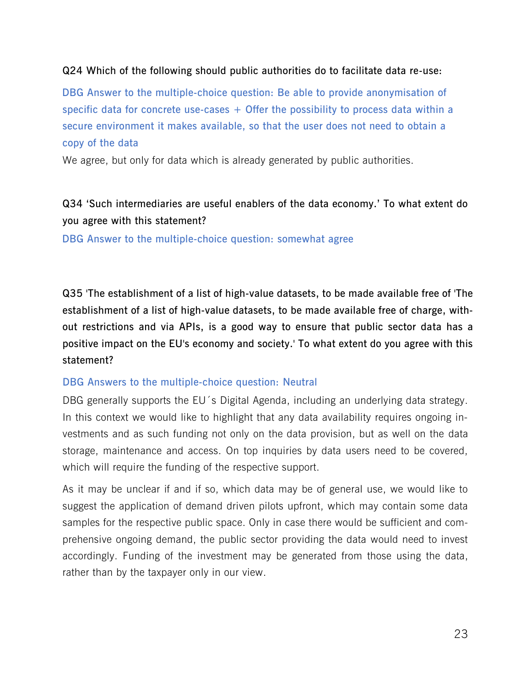## **Q24 Which of the following should public authorities do to facilitate data re-use:**

**DBG Answer to the multiple-choice question: Be able to provide anonymisation of specific data for concrete use-cases + Offer the possibility to process data within a secure environment it makes available, so that the user does not need to obtain a copy of the data**

We agree, but only for data which is already generated by public authorities.

## **Q34 'Such intermediaries are useful enablers of the data economy.' To what extent do you agree with this statement?**

**DBG Answer to the multiple-choice question: somewhat agree**

**Q35 'The establishment of a list of high-value datasets, to be made available free of 'The establishment of a list of high-value datasets, to be made available free of charge, without restrictions and via APIs, is a good way to ensure that public sector data has a positive impact on the EU's economy and society.' To what extent do you agree with this statement?** 

## **DBG Answers to the multiple-choice question: Neutral**

DBG generally supports the EU´s Digital Agenda, including an underlying data strategy. In this context we would like to highlight that any data availability requires ongoing investments and as such funding not only on the data provision, but as well on the data storage, maintenance and access. On top inquiries by data users need to be covered, which will require the funding of the respective support.

As it may be unclear if and if so, which data may be of general use, we would like to suggest the application of demand driven pilots upfront, which may contain some data samples for the respective public space. Only in case there would be sufficient and comprehensive ongoing demand, the public sector providing the data would need to invest accordingly. Funding of the investment may be generated from those using the data, rather than by the taxpayer only in our view.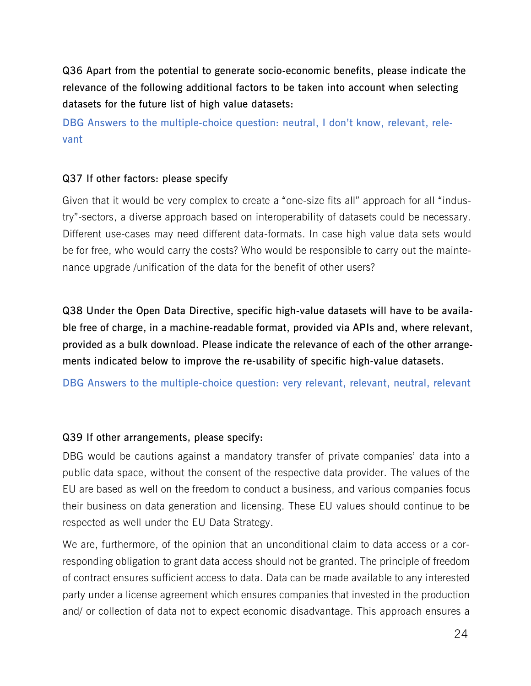**Q36 Apart from the potential to generate socio-economic benefits, please indicate the relevance of the following additional factors to be taken into account when selecting datasets for the future list of high value datasets:**

**DBG Answers to the multiple-choice question: neutral, I don't know, relevant, relevant**

#### **Q37 If other factors: please specify**

Given that it would be very complex to create a "one-size fits all" approach for all "industry"-sectors, a diverse approach based on interoperability of datasets could be necessary. Different use-cases may need different data-formats. In case high value data sets would be for free, who would carry the costs? Who would be responsible to carry out the maintenance upgrade /unification of the data for the benefit of other users?

**Q38 Under the Open Data Directive, specific high-value datasets will have to be available free of charge, in a machine-readable format, provided via APIs and, where relevant, provided as a bulk download. Please indicate the relevance of each of the other arrangements indicated below to improve the re-usability of specific high-value datasets.**

**DBG Answers to the multiple-choice question: very relevant, relevant, neutral, relevant**

#### **Q39 If other arrangements, please specify:**

DBG would be cautions against a mandatory transfer of private companies' data into a public data space, without the consent of the respective data provider. The values of the EU are based as well on the freedom to conduct a business, and various companies focus their business on data generation and licensing. These EU values should continue to be respected as well under the EU Data Strategy.

We are, furthermore, of the opinion that an unconditional claim to data access or a corresponding obligation to grant data access should not be granted. The principle of freedom of contract ensures sufficient access to data. Data can be made available to any interested party under a license agreement which ensures companies that invested in the production and/ or collection of data not to expect economic disadvantage. This approach ensures a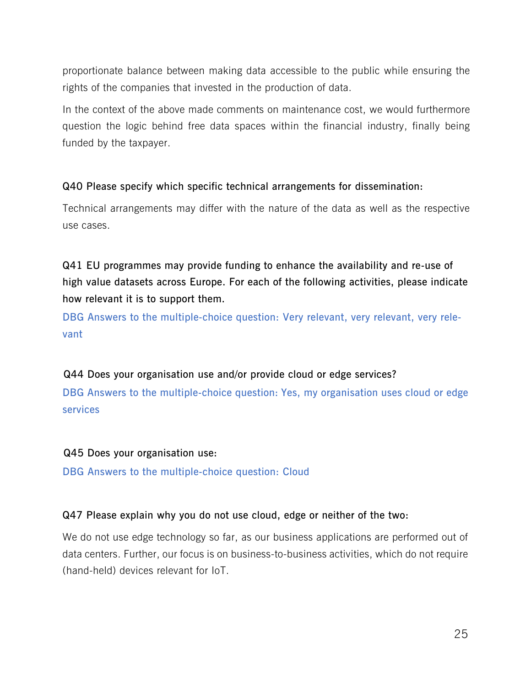proportionate balance between making data accessible to the public while ensuring the rights of the companies that invested in the production of data.

In the context of the above made comments on maintenance cost, we would furthermore question the logic behind free data spaces within the financial industry, finally being funded by the taxpayer.

## **Q40 Please specify which specific technical arrangements for dissemination:**

Technical arrangements may differ with the nature of the data as well as the respective use cases.

**Q41 EU programmes may provide funding to enhance the availability and re-use of high value datasets across Europe. For each of the following activities, please indicate how relevant it is to support them.**

**DBG Answers to the multiple-choice question: Very relevant, very relevant, very relevant** 

## **Q44 Does your organisation use and/or provide cloud or edge services?**

**DBG Answers to the multiple-choice question: Yes, my organisation uses cloud or edge services**

## **Q45 Does your organisation use:**

**DBG Answers to the multiple-choice question: Cloud** 

## **Q47 Please explain why you do not use cloud, edge or neither of the two:**

We do not use edge technology so far, as our business applications are performed out of data centers. Further, our focus is on business-to-business activities, which do not require (hand-held) devices relevant for IoT.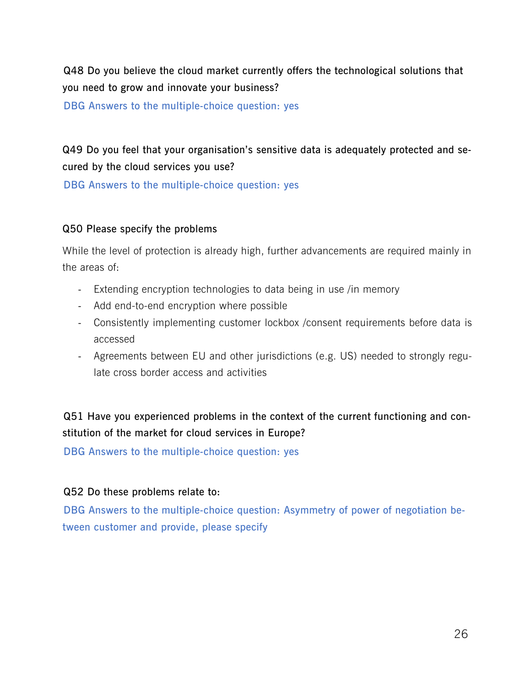**Q48 Do you believe the cloud market currently offers the technological solutions that you need to grow and innovate your business?**

**DBG Answers to the multiple-choice question: yes** 

**Q49 Do you feel that your organisation's sensitive data is adequately protected and secured by the cloud services you use?**

**DBG Answers to the multiple-choice question: yes** 

## **Q50 Please specify the problems**

While the level of protection is already high, further advancements are required mainly in the areas of:

- Extending encryption technologies to data being in use /in memory
- Add end-to-end encryption where possible
- Consistently implementing customer lockbox /consent requirements before data is accessed
- Agreements between EU and other jurisdictions (e.g. US) needed to strongly regulate cross border access and activities

## **Q51 Have you experienced problems in the context of the current functioning and constitution of the market for cloud services in Europe?**

**DBG Answers to the multiple-choice question: yes** 

## **Q52 Do these problems relate to:**

**DBG Answers to the multiple-choice question: Asymmetry of power of negotiation between customer and provide, please specify**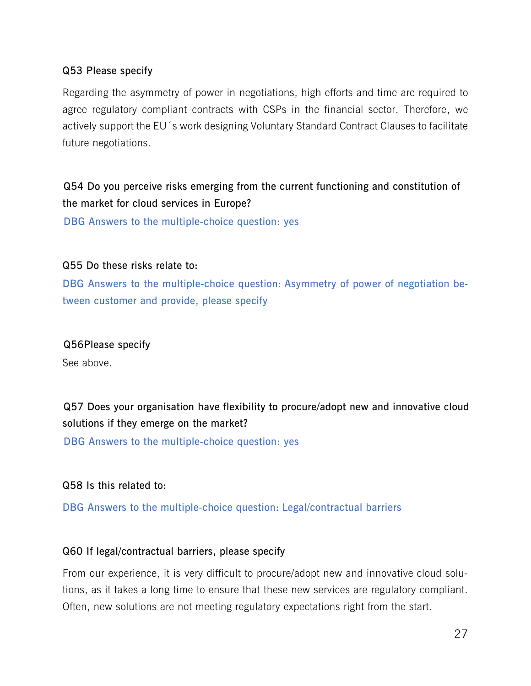## **Q53 Please specify**

Regarding the asymmetry of power in negotiations, high efforts and time are required to agree regulatory compliant contracts with CSPs in the financial sector. Therefore, we actively support the EU´s work designing Voluntary Standard Contract Clauses to facilitate future negotiations.

## **Q54 Do you perceive risks emerging from the current functioning and constitution of the market for cloud services in Europe?**

**DBG Answers to the multiple-choice question: yes** 

## **Q55 Do these risks relate to:**

**DBG Answers to the multiple-choice question: Asymmetry of power of negotiation between customer and provide, please specify**

## **Q56Please specify**

See above.

## **Q57 Does your organisation have flexibility to procure/adopt new and innovative cloud solutions if they emerge on the market?**

**DBG Answers to the multiple-choice question: yes** 

## **Q58 Is this related to:**

**DBG Answers to the multiple-choice question: Legal/contractual barriers**

## **Q60 If legal/contractual barriers, please specify**

From our experience, it is very difficult to procure/adopt new and innovative cloud solutions, as it takes a long time to ensure that these new services are regulatory compliant. Often, new solutions are not meeting regulatory expectations right from the start.